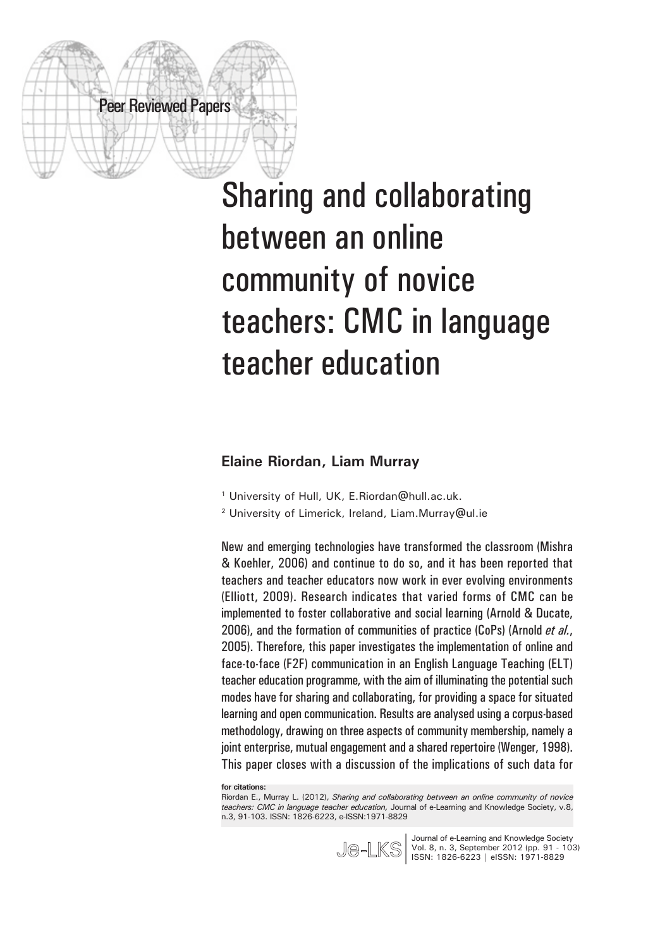# Sharing and collaborating between an online community of novice teachers: CMC in language teacher education

#### **Elaine Riordan, Liam Murray**

1 University of Hull, UK, E.Riordan@hull.ac.uk.

2 University of Limerick, Ireland, Liam.Murray@ul.ie

New and emerging technologies have transformed the classroom (Mishra & Koehler, 2006) and continue to do so, and it has been reported that teachers and teacher educators now work in ever evolving environments (Elliott, 2009). Research indicates that varied forms of CMC can be implemented to foster collaborative and social learning (Arnold & Ducate, 2006), and the formation of communities of practice (CoPs) (Arnold *et al.*, 2005). Therefore, this paper investigates the implementation of online and face-to-face (F2F) communication in an English Language Teaching (ELT) teacher education programme, with the aim of illuminating the potential such modes have for sharing and collaborating, for providing a space for situated learning and open communication. Results are analysed using a corpus-based methodology, drawing on three aspects of community membership, namely a joint enterprise, mutual engagement and a shared repertoire (Wenger, 1998). This paper closes with a discussion of the implications of such data for

**for citations:**

Peer Reviewed Papers

Riordan E., Murray L. (2012), *Sharing and collaborating between an online community of novice teachers: CMC in language teacher education,* Journal of e-Learning and Knowledge Society, v.8, n.3, 91-103. ISSN: 1826-6223, e-ISSN:1971-8829



Journal of e-Learning and Knowledge Society Vol. 8, n. 3, September 2012 (pp. 91 - 103) Journal of e-Learning and Knowledge Socie<br>
Vol. 8, n. 3, September 2012 (pp. 91 - 1<br> **ISSN: 1826-6223 | eISSN: 1971-8829**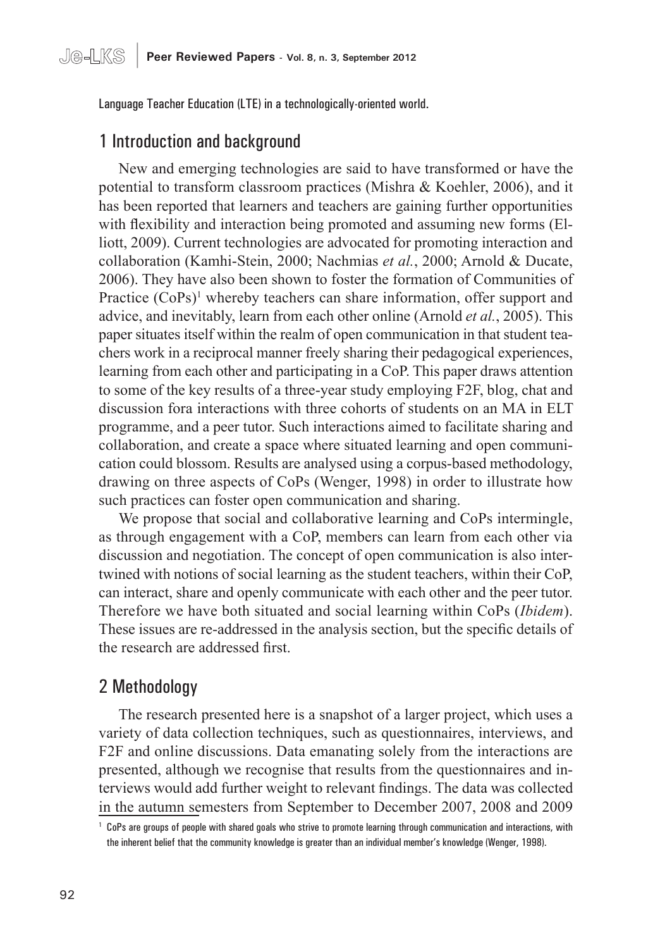Language Teacher Education (LTE) in a technologically-oriented world.

#### 1 Introduction and background

New and emerging technologies are said to have transformed or have the potential to transform classroom practices (Mishra & Koehler, 2006), and it has been reported that learners and teachers are gaining further opportunities with flexibility and interaction being promoted and assuming new forms (Elliott, 2009). Current technologies are advocated for promoting interaction and collaboration (Kamhi-Stein, 2000; Nachmias *et al.*, 2000; Arnold & Ducate, 2006). They have also been shown to foster the formation of Communities of Practice (CoPs)<sup>1</sup> whereby teachers can share information, offer support and advice, and inevitably, learn from each other online (Arnold *et al.*, 2005). This paper situates itself within the realm of open communication in that student teachers work in a reciprocal manner freely sharing their pedagogical experiences, learning from each other and participating in a CoP. This paper draws attention to some of the key results of a three-year study employing F2F, blog, chat and discussion fora interactions with three cohorts of students on an MA in ELT programme, and a peer tutor. Such interactions aimed to facilitate sharing and collaboration, and create a space where situated learning and open communication could blossom. Results are analysed using a corpus-based methodology, drawing on three aspects of CoPs (Wenger, 1998) in order to illustrate how such practices can foster open communication and sharing.

We propose that social and collaborative learning and CoPs intermingle, as through engagement with a CoP, members can learn from each other via discussion and negotiation. The concept of open communication is also intertwined with notions of social learning as the student teachers, within their CoP, can interact, share and openly communicate with each other and the peer tutor. Therefore we have both situated and social learning within CoPs (*Ibidem*). These issues are re-addressed in the analysis section, but the specific details of the research are addressed first.

#### 2 Methodology

The research presented here is a snapshot of a larger project, which uses a variety of data collection techniques, such as questionnaires, interviews, and F2F and online discussions. Data emanating solely from the interactions are presented, although we recognise that results from the questionnaires and interviews would add further weight to relevant findings. The data was collected in the autumn semesters from September to December 2007, 2008 and 2009

<sup>1</sup> CoPs are groups of people with shared goals who strive to promote learning through communication and interactions, with the inherent belief that the community knowledge is greater than an individual member's knowledge (Wenger, 1998).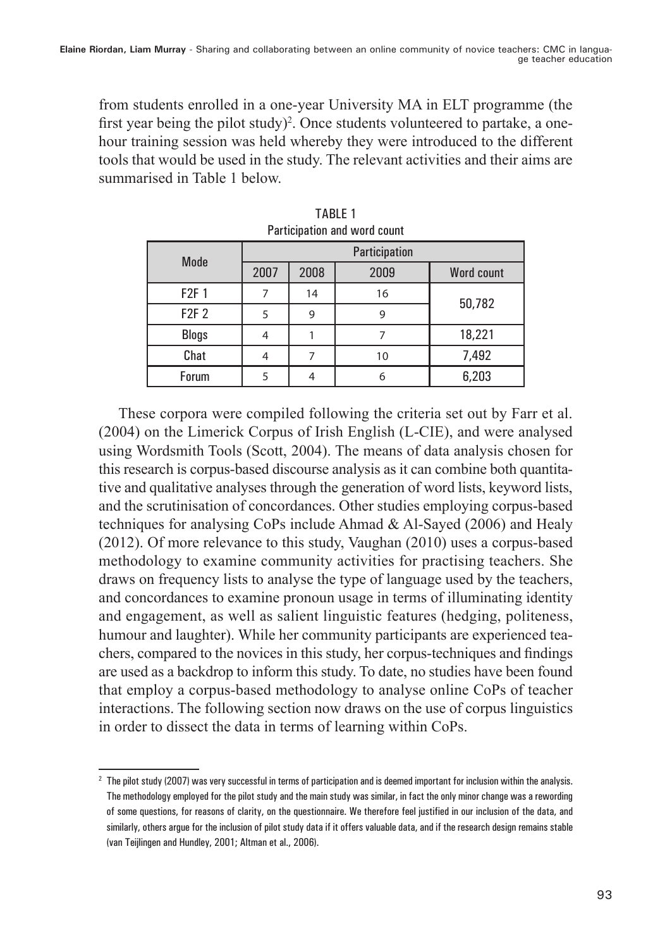from students enrolled in a one-year University MA in ELT programme (the first year being the pilot study)<sup>2</sup>. Once students volunteered to partake, a onehour training session was held whereby they were introduced to the different tools that would be used in the study. The relevant activities and their aims are summarised in Table 1 below.

| . a. dolpation and word oodnit |               |      |      |            |  |
|--------------------------------|---------------|------|------|------------|--|
| <b>Mode</b>                    | Participation |      |      |            |  |
|                                | 2007          | 2008 | 2009 | Word count |  |
| F <sub>2F</sub> 1              |               | 14   | 16   | 50,782     |  |
| F <sub>2</sub> F <sub>2</sub>  |               | 9    | 9    |            |  |
| <b>Blogs</b>                   | 4             |      |      | 18,221     |  |
| Chat                           |               |      | 10   | 7,492      |  |
| Forum                          |               |      | 6    | 6,203      |  |

| <b>TABLE 1</b>               |  |  |  |  |  |
|------------------------------|--|--|--|--|--|
| Participation and word count |  |  |  |  |  |

These corpora were compiled following the criteria set out by Farr et al. (2004) on the Limerick Corpus of Irish English (L-CIE), and were analysed using Wordsmith Tools (Scott, 2004). The means of data analysis chosen for this research is corpus-based discourse analysis as it can combine both quantitative and qualitative analyses through the generation of word lists, keyword lists, and the scrutinisation of concordances. Other studies employing corpus-based techniques for analysing CoPs include Ahmad & Al-Sayed (2006) and Healy (2012). Of more relevance to this study, Vaughan (2010) uses a corpus-based methodology to examine community activities for practising teachers. She draws on frequency lists to analyse the type of language used by the teachers, and concordances to examine pronoun usage in terms of illuminating identity and engagement, as well as salient linguistic features (hedging, politeness, humour and laughter). While her community participants are experienced teachers, compared to the novices in this study, her corpus-techniques and findings are used as a backdrop to inform this study. To date, no studies have been found that employ a corpus-based methodology to analyse online CoPs of teacher interactions. The following section now draws on the use of corpus linguistics in order to dissect the data in terms of learning within CoPs.

<sup>&</sup>lt;sup>2</sup> The pilot study (2007) was very successful in terms of participation and is deemed important for inclusion within the analysis. The methodology employed for the pilot study and the main study was similar, in fact the only minor change was a rewording of some questions, for reasons of clarity, on the questionnaire. We therefore feel justified in our inclusion of the data, and similarly, others argue for the inclusion of pilot study data if it offers valuable data, and if the research design remains stable (van Teijlingen and Hundley, 2001; Altman et al., 2006).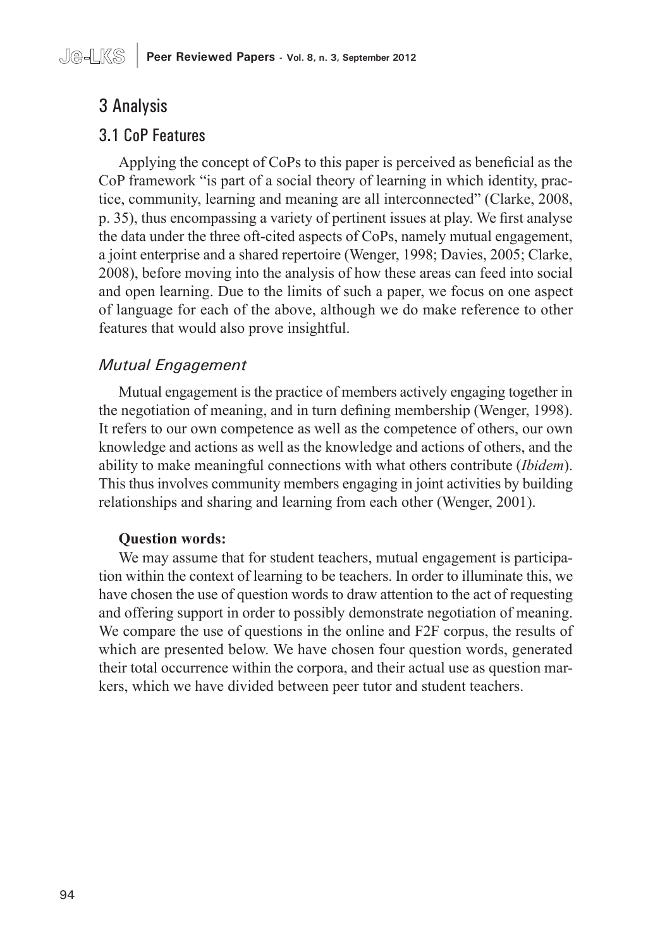# 3 Analysis

# 3.1 CoP Features

Applying the concept of CoPs to this paper is perceived as beneficial as the CoP framework "is part of a social theory of learning in which identity, practice, community, learning and meaning are all interconnected" (Clarke, 2008, p. 35), thus encompassing a variety of pertinent issues at play. We first analyse the data under the three oft-cited aspects of CoPs, namely mutual engagement, a joint enterprise and a shared repertoire (Wenger, 1998; Davies, 2005; Clarke, 2008), before moving into the analysis of how these areas can feed into social and open learning. Due to the limits of such a paper, we focus on one aspect of language for each of the above, although we do make reference to other features that would also prove insightful.

# *Mutual Engagement*

Mutual engagement is the practice of members actively engaging together in the negotiation of meaning, and in turn defining membership (Wenger, 1998). It refers to our own competence as well as the competence of others, our own knowledge and actions as well as the knowledge and actions of others, and the ability to make meaningful connections with what others contribute (*Ibidem*). This thus involves community members engaging in joint activities by building relationships and sharing and learning from each other (Wenger, 2001).

#### **Question words:**

We may assume that for student teachers, mutual engagement is participation within the context of learning to be teachers. In order to illuminate this, we have chosen the use of question words to draw attention to the act of requesting and offering support in order to possibly demonstrate negotiation of meaning. We compare the use of questions in the online and F2F corpus, the results of which are presented below. We have chosen four question words, generated their total occurrence within the corpora, and their actual use as question markers, which we have divided between peer tutor and student teachers.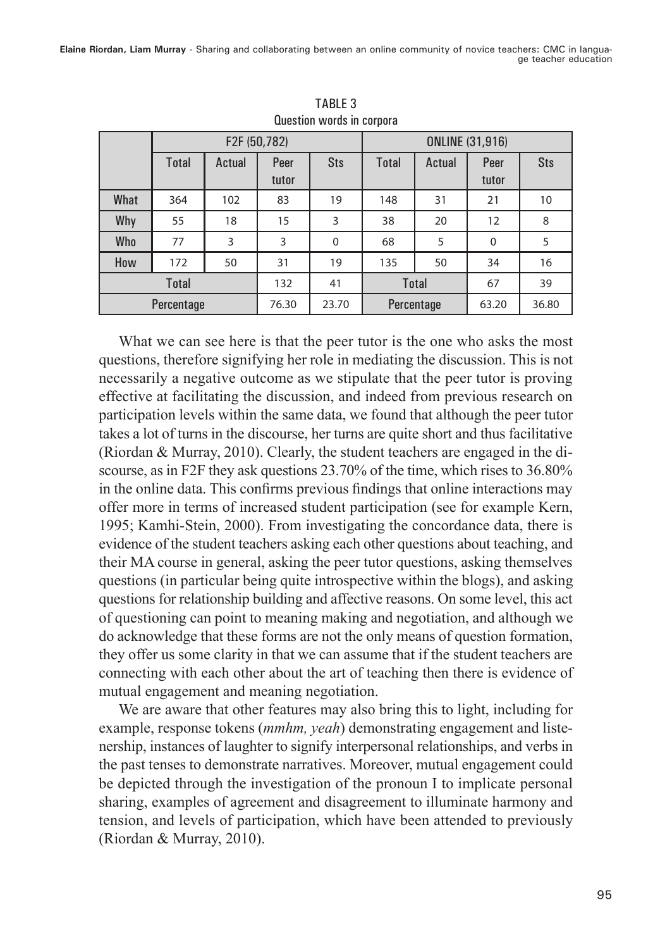**Elaine Riordan, Liam Murray** - Sharing and collaborating between an online community of novice teachers: CMC in language teacher education

| <u>adootion</u> worder in oorpord |              |        |       |            |                        |            |       |            |
|-----------------------------------|--------------|--------|-------|------------|------------------------|------------|-------|------------|
|                                   | F2F (50,782) |        |       |            | <b>ONLINE (31,916)</b> |            |       |            |
|                                   | <b>Total</b> | Actual | Peer  | <b>Sts</b> | <b>Total</b>           | Actual     | Peer  | <b>Sts</b> |
|                                   |              |        | tutor |            |                        |            | tutor |            |
| What                              | 364          | 102    | 83    | 19         | 148                    | 31         | 21    | 10         |
| Why                               | 55           | 18     | 15    | 3          | 38                     | 20         | 12    | 8          |
| Who                               | 77           | 3      | 3     | 0          | 68                     | 5          | 0     | 5          |
| How                               | 172          | 50     | 31    | 19         | 135                    | 50         | 34    | 16         |
| Total                             |              |        | 132   | 41         | <b>Total</b>           |            | 67    | 39         |
| Percentage                        |              |        | 76.30 | 23.70      |                        | Percentage | 63.20 | 36.80      |

TABLE 3 Question words in corpora

What we can see here is that the peer tutor is the one who asks the most questions, therefore signifying her role in mediating the discussion. This is not necessarily a negative outcome as we stipulate that the peer tutor is proving effective at facilitating the discussion, and indeed from previous research on participation levels within the same data, we found that although the peer tutor takes a lot of turns in the discourse, her turns are quite short and thus facilitative (Riordan & Murray, 2010). Clearly, the student teachers are engaged in the discourse, as in F2F they ask questions 23.70% of the time, which rises to 36.80% in the online data. This confirms previous findings that online interactions may offer more in terms of increased student participation (see for example Kern, 1995; Kamhi-Stein, 2000). From investigating the concordance data, there is evidence of the student teachers asking each other questions about teaching, and their MA course in general, asking the peer tutor questions, asking themselves questions (in particular being quite introspective within the blogs), and asking questions for relationship building and affective reasons. On some level, this act of questioning can point to meaning making and negotiation, and although we do acknowledge that these forms are not the only means of question formation, they offer us some clarity in that we can assume that if the student teachers are connecting with each other about the art of teaching then there is evidence of mutual engagement and meaning negotiation.

We are aware that other features may also bring this to light, including for example, response tokens (*mmhm, yeah*) demonstrating engagement and listenership, instances of laughter to signify interpersonal relationships, and verbs in the past tenses to demonstrate narratives. Moreover, mutual engagement could be depicted through the investigation of the pronoun I to implicate personal sharing, examples of agreement and disagreement to illuminate harmony and tension, and levels of participation, which have been attended to previously (Riordan & Murray, 2010).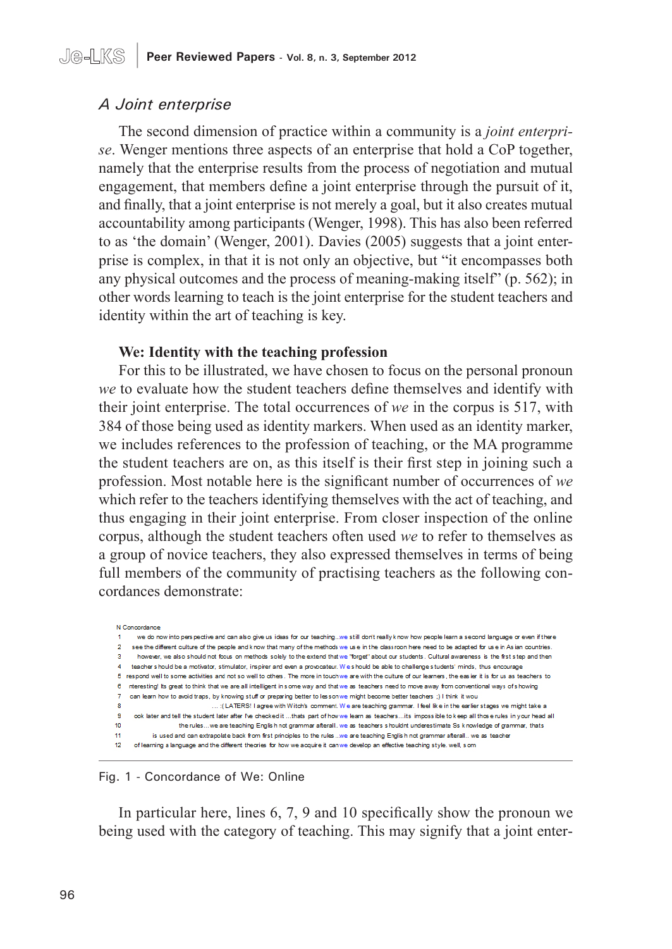#### *A Joint enterprise*

The second dimension of practice within a community is a *joint enterprise*. Wenger mentions three aspects of an enterprise that hold a CoP together, namely that the enterprise results from the process of negotiation and mutual engagement, that members define a joint enterprise through the pursuit of it, and finally, that a joint enterprise is not merely a goal, but it also creates mutual accountability among participants (Wenger, 1998). This has also been referred to as 'the domain' (Wenger, 2001). Davies (2005) suggests that a joint enterprise is complex, in that it is not only an objective, but "it encompasses both any physical outcomes and the process of meaning-making itself" (p. 562); in other words learning to teach is the joint enterprise for the student teachers and identity within the art of teaching is key.

#### **We: Identity with the teaching profession**

For this to be illustrated, we have chosen to focus on the personal pronoun *we* to evaluate how the student teachers define themselves and identify with their joint enterprise. The total occurrences of *we* in the corpus is 517, with 384 of those being used as identity markers. When used as an identity marker, we includes references to the profession of teaching, or the MA programme the student teachers are on, as this itself is their first step in joining such a profession. Most notable here is the significant number of occurrences of *we*  which refer to the teachers identifying themselves with the act of teaching, and thus engaging in their joint enterprise. From closer inspection of the online corpus, although the student teachers often used *we* to refer to themselves as a group of novice teachers, they also expressed themselves in terms of being full members of the community of practising teachers as the following concordances demonstrate:

N Concordance 1 we do now into perspective and can also give us ideas for our teaching...we still don't really know how people learn a second language or even if there 2 see the different culture of the people and know that many of the methods we use in the classroon here need to be adapted for use in Asian countries. however, we also should not focus on methods solely to the extend that we "forget" about our students. Cultural awareness is the first step and then 4 teacher should be a motivator, stimulator, inspirer and even a provocateur. We should be able to challenge students' minds, thus encourage 5 respond well to some activities and not so well to others. The more in touch we are with the culture of our learners, the easier it is for us as teachers to 6 nteresting! Its great to think that we are all intelligent in some way and that we as teachers need to move away from conventional ways of showing 7 can learn how to avoid traps, by k nowing stuff or preparing better to lesson we might become better teachers ;) I think it wou ... : (LATERS! I agree with Witch's comment. We are teaching grammar. I feel like in the earlier stages we might take a 9 ook later and tell the student later after I've checked it ...thats part of how we learn as teachers...its impossible to keep all those rules in your head all the rules... we are teaching English not grammar afterall.. we as teachers shouldnt underestimate Ss knowledge of grammar, thats 11 is used and can extrapolate back from first principles to the rules ... we are teaching English not grammar afterall... we as teacher 12 of learning a language and the different theories for how we acquire it can we develop an effective teaching style. well, som

Fig. 1 - Concordance of We: Online

In particular here, lines 6, 7, 9 and 10 specifically show the pronoun we being used with the category of teaching. This may signify that a joint enter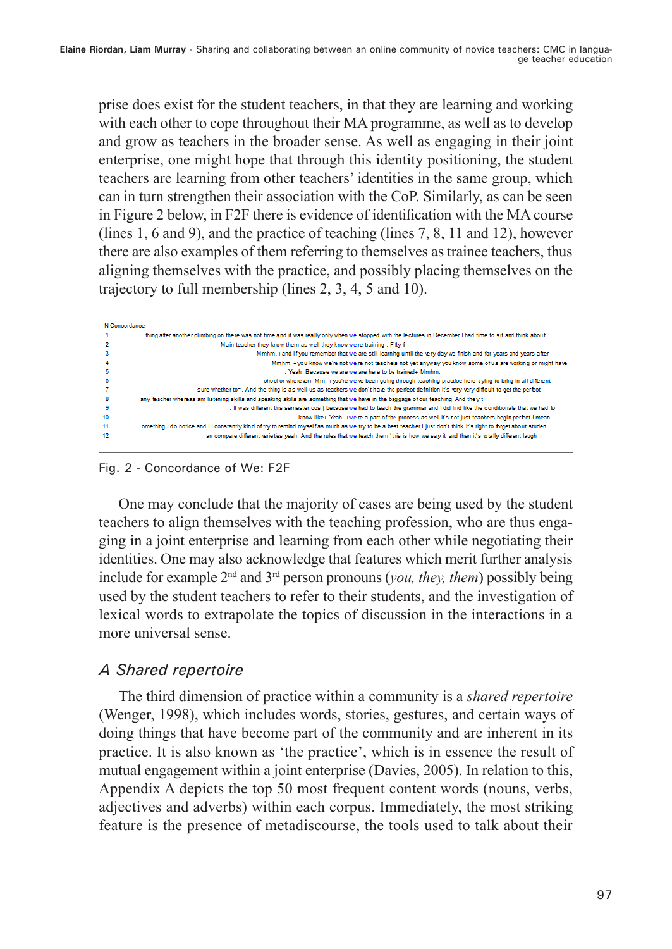prise does exist for the student teachers, in that they are learning and working with each other to cope throughout their MA programme, as well as to develop and grow as teachers in the broader sense. As well as engaging in their joint enterprise, one might hope that through this identity positioning, the student teachers are learning from other teachers' identities in the same group, which can in turn strengthen their association with the CoP. Similarly, as can be seen in Figure 2 below, in F2F there is evidence of identification with the MA course (lines 1, 6 and 9), and the practice of teaching (lines 7, 8, 11 and 12), however there are also examples of them referring to themselves as trainee teachers, thus aligning themselves with the practice, and possibly placing themselves on the trajectory to full membership (lines 2, 3, 4, 5 and 10).

| N Concordance |                                                                                                                                                                  |
|---------------|------------------------------------------------------------------------------------------------------------------------------------------------------------------|
|               | thing after another climbing on there was not time and it was really only when we stopped with the lectures in December I had time to sit and think about        |
|               | Main teacher they know them as well they know we're training. Fifty f                                                                                            |
|               | Mmhm. + and if you remember that we are still learning until the very day we finish and for years and years after                                                |
|               | Mmhm. + you know we're not we're not teachers not yet anyway you know some of us are working or might have                                                       |
| 5             | . Yeah. Because we are we are here to be trained+ Mmhm.                                                                                                          |
| 6             | chool or where ver+ Mm. +you're we've been going through teaching practice here trying to bring in all different                                                 |
|               | sure whether to=. And the thing is as well us as teachers we don't have the perfect definition it's very very difficult to get the perfect                       |
| 8             | any teacher whereas am listening skills and speaking skills are something that we have in the baggage of our teaching. And they t                                |
| 9             | . It was different this semester cos I because we had to teach the grammar and I did find like the conditionals that we had to                                   |
| 10            | know like+ Yeah. +we're a part of the process as well it's not just teachers begin perfect I mean                                                                |
| -11           | omething I do notice and I I constantly kind of try to remind myself as much as we try to be a best teacher I just don't think it's right to forget about studen |
| 12            | an compare different varieties yeah. And the rules that we teach them 'this is how we say it' and then it's totally different laugh                              |
|               |                                                                                                                                                                  |

Fig. 2 - Concordance of We: F2F

One may conclude that the majority of cases are being used by the student teachers to align themselves with the teaching profession, who are thus engaging in a joint enterprise and learning from each other while negotiating their identities. One may also acknowledge that features which merit further analysis include for example 2nd and 3rd person pronouns (*you, they, them*) possibly being used by the student teachers to refer to their students, and the investigation of lexical words to extrapolate the topics of discussion in the interactions in a more universal sense.

# *A Shared repertoire*

The third dimension of practice within a community is a *shared repertoire*  (Wenger, 1998), which includes words, stories, gestures, and certain ways of doing things that have become part of the community and are inherent in its practice. It is also known as 'the practice', which is in essence the result of mutual engagement within a joint enterprise (Davies, 2005). In relation to this, Appendix A depicts the top 50 most frequent content words (nouns, verbs, adjectives and adverbs) within each corpus. Immediately, the most striking feature is the presence of metadiscourse, the tools used to talk about their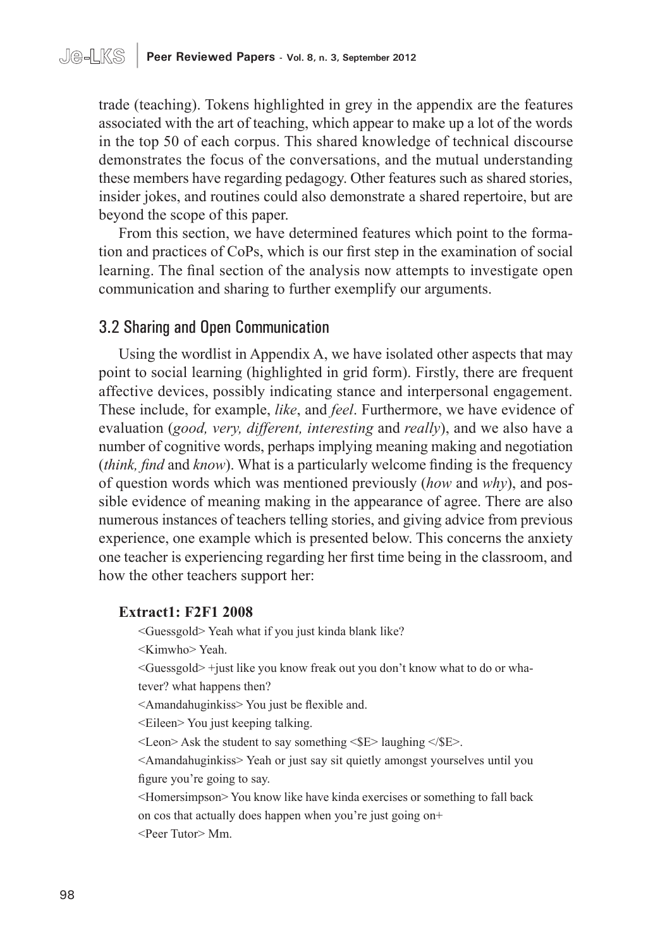trade (teaching). Tokens highlighted in grey in the appendix are the features associated with the art of teaching, which appear to make up a lot of the words in the top 50 of each corpus. This shared knowledge of technical discourse demonstrates the focus of the conversations, and the mutual understanding these members have regarding pedagogy. Other features such as shared stories, insider jokes, and routines could also demonstrate a shared repertoire, but are beyond the scope of this paper.

From this section, we have determined features which point to the formation and practices of CoPs, which is our first step in the examination of social learning. The final section of the analysis now attempts to investigate open communication and sharing to further exemplify our arguments.

#### 3.2 Sharing and Open Communication

Using the wordlist in Appendix A, we have isolated other aspects that may point to social learning (highlighted in grid form). Firstly, there are frequent affective devices, possibly indicating stance and interpersonal engagement. These include, for example, *like*, and *feel*. Furthermore, we have evidence of evaluation (*good, very, different, interesting* and *really*), and we also have a number of cognitive words, perhaps implying meaning making and negotiation (*think, find* and *know*). What is a particularly welcome finding is the frequency of question words which was mentioned previously (*how* and *why*), and possible evidence of meaning making in the appearance of agree. There are also numerous instances of teachers telling stories, and giving advice from previous experience, one example which is presented below. This concerns the anxiety one teacher is experiencing regarding her first time being in the classroom, and how the other teachers support her:

#### **Extract1: F2F1 2008**

<Guessgold> Yeah what if you just kinda blank like?

<Kimwho> Yeah.

<Guessgold> +just like you know freak out you don't know what to do or wha-

tever? what happens then?

<Amandahuginkiss> You just be flexible and.

<Eileen> You just keeping talking.

 $\leq$ Leon> Ask the student to say something  $\leq$ SE> laughing  $\leq$ /SE>.

<Amandahuginkiss> Yeah or just say sit quietly amongst yourselves until you figure you're going to say.

<Homersimpson> You know like have kinda exercises or something to fall back on cos that actually does happen when you're just going on+ <Peer Tutor> Mm.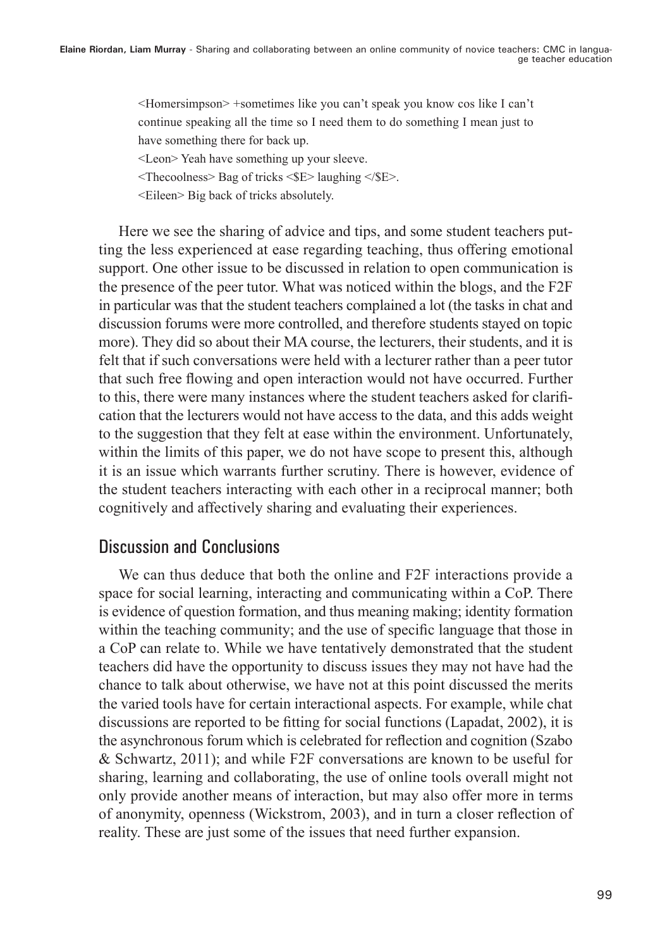<Homersimpson> +sometimes like you can't speak you know cos like I can't continue speaking all the time so I need them to do something I mean just to have something there for back up.

<Leon> Yeah have something up your sleeve.

 $\leq$ Thecoolness> Bag of tricks  $\leq$ SE> laughing  $\leq$ /SE>.

<Eileen> Big back of tricks absolutely.

Here we see the sharing of advice and tips, and some student teachers putting the less experienced at ease regarding teaching, thus offering emotional support. One other issue to be discussed in relation to open communication is the presence of the peer tutor. What was noticed within the blogs, and the F2F in particular was that the student teachers complained a lot (the tasks in chat and discussion forums were more controlled, and therefore students stayed on topic more). They did so about their MA course, the lecturers, their students, and it is felt that if such conversations were held with a lecturer rather than a peer tutor that such free flowing and open interaction would not have occurred. Further to this, there were many instances where the student teachers asked for clarification that the lecturers would not have access to the data, and this adds weight to the suggestion that they felt at ease within the environment. Unfortunately, within the limits of this paper, we do not have scope to present this, although it is an issue which warrants further scrutiny. There is however, evidence of the student teachers interacting with each other in a reciprocal manner; both cognitively and affectively sharing and evaluating their experiences.

# Discussion and Conclusions

We can thus deduce that both the online and F2F interactions provide a space for social learning, interacting and communicating within a CoP. There is evidence of question formation, and thus meaning making; identity formation within the teaching community; and the use of specific language that those in a CoP can relate to. While we have tentatively demonstrated that the student teachers did have the opportunity to discuss issues they may not have had the chance to talk about otherwise, we have not at this point discussed the merits the varied tools have for certain interactional aspects. For example, while chat discussions are reported to be fitting for social functions (Lapadat, 2002), it is the asynchronous forum which is celebrated for reflection and cognition (Szabo & Schwartz, 2011); and while F2F conversations are known to be useful for sharing, learning and collaborating, the use of online tools overall might not only provide another means of interaction, but may also offer more in terms of anonymity, openness (Wickstrom, 2003), and in turn a closer reflection of reality. These are just some of the issues that need further expansion.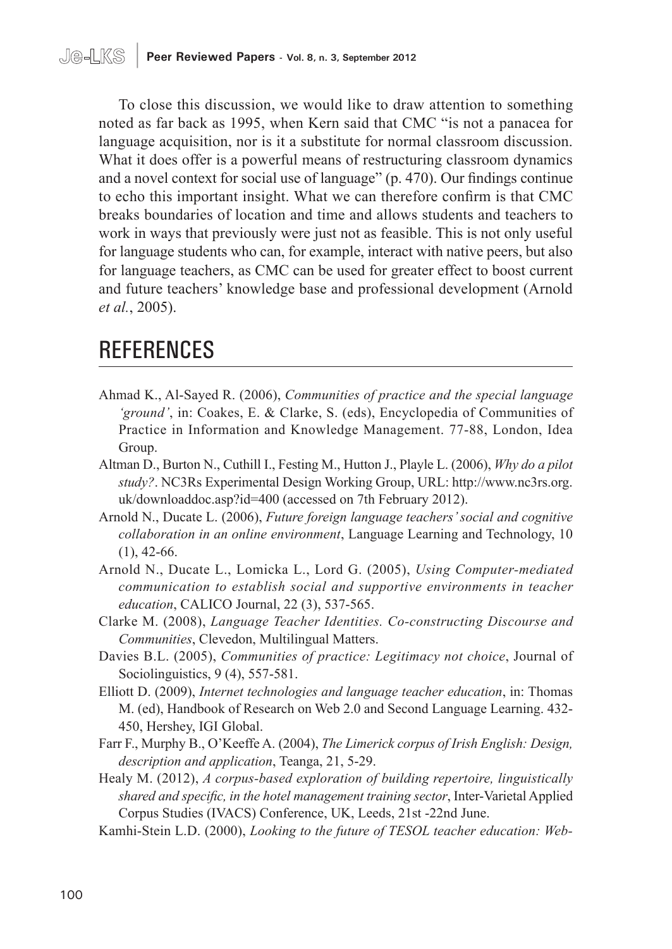To close this discussion, we would like to draw attention to something noted as far back as 1995, when Kern said that CMC "is not a panacea for language acquisition, nor is it a substitute for normal classroom discussion. What it does offer is a powerful means of restructuring classroom dynamics and a novel context for social use of language" (p. 470). Our findings continue to echo this important insight. What we can therefore confirm is that CMC breaks boundaries of location and time and allows students and teachers to work in ways that previously were just not as feasible. This is not only useful for language students who can, for example, interact with native peers, but also for language teachers, as CMC can be used for greater effect to boost current and future teachers' knowledge base and professional development (Arnold *et al.*, 2005).

# **REFERENCES**

- Ahmad K., Al-Sayed R. (2006), *Communities of practice and the special language 'ground'*, in: Coakes, E. & Clarke, S. (eds), Encyclopedia of Communities of Practice in Information and Knowledge Management. 77-88, London, Idea Group.
- Altman D., Burton N., Cuthill I., Festing M., Hutton J., Playle L. (2006), *Why do a pilot study?*. NC3Rs Experimental Design Working Group, URL: http://www.nc3rs.org. uk/downloaddoc.asp?id=400 (accessed on 7th February 2012).
- Arnold N., Ducate L. (2006), *Future foreign language teachers' social and cognitive collaboration in an online environment*, Language Learning and Technology, 10  $(1), 42-66.$
- Arnold N., Ducate L., Lomicka L., Lord G. (2005), *Using Computer-mediated communication to establish social and supportive environments in teacher education*, CALICO Journal, 22 (3), 537-565.
- Clarke M. (2008), *Language Teacher Identities. Co-constructing Discourse and Communities*, Clevedon, Multilingual Matters.
- Davies B.L. (2005), *Communities of practice: Legitimacy not choice*, Journal of Sociolinguistics, 9 (4), 557-581.
- Elliott D. (2009), *Internet technologies and language teacher education*, in: Thomas M. (ed), Handbook of Research on Web 2.0 and Second Language Learning. 432- 450, Hershey, IGI Global.
- Farr F., Murphy B., O'Keeffe A. (2004), *The Limerick corpus of Irish English: Design, description and application*, Teanga, 21, 5-29.
- Healy M. (2012), *A corpus-based exploration of building repertoire, linguistically shared and specific, in the hotel management training sector*, Inter-Varietal Applied Corpus Studies (IVACS) Conference, UK, Leeds, 21st -22nd June.
- Kamhi-Stein L.D. (2000), *Looking to the future of TESOL teacher education: Web-*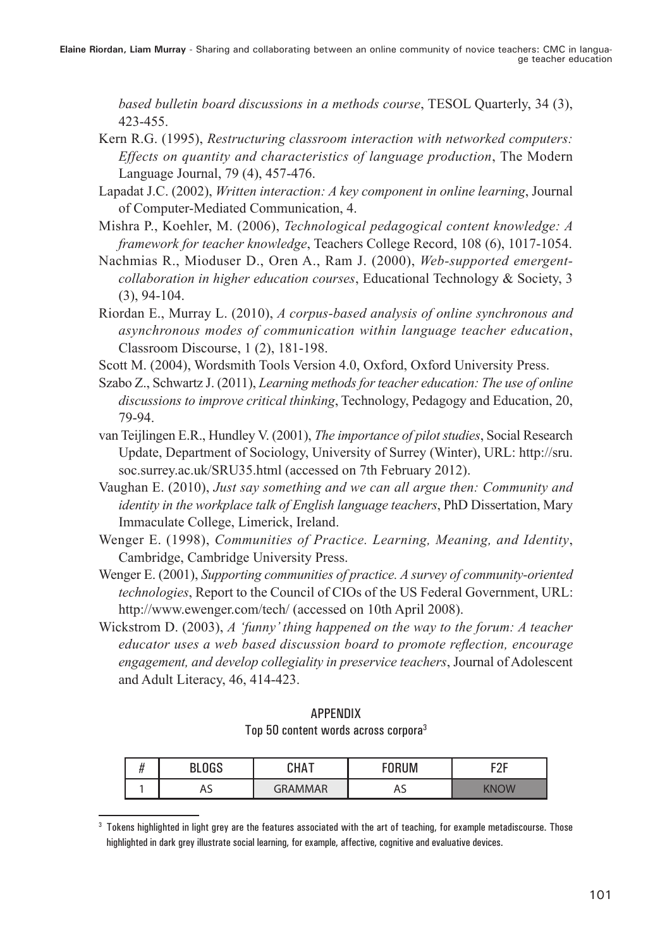*based bulletin board discussions in a methods course*, TESOL Quarterly, 34 (3), 423-455.

- Kern R.G. (1995), *Restructuring classroom interaction with networked computers: Effects on quantity and characteristics of language production*, The Modern Language Journal, 79 (4), 457-476.
- Lapadat J.C. (2002), *Written interaction: A key component in online learning*, Journal of Computer-Mediated Communication, 4.
- Mishra P., Koehler, M. (2006), *Technological pedagogical content knowledge: A framework for teacher knowledge*, Teachers College Record, 108 (6), 1017-1054.
- Nachmias R., Mioduser D., Oren A., Ram J. (2000), *Web-supported emergentcollaboration in higher education courses*, Educational Technology & Society, 3 (3), 94-104.
- Riordan E., Murray L. (2010), *A corpus-based analysis of online synchronous and asynchronous modes of communication within language teacher education*, Classroom Discourse, 1 (2), 181-198.
- Scott M. (2004), Wordsmith Tools Version 4.0, Oxford, Oxford University Press.
- Szabo Z., Schwartz J. (2011), *Learning methods for teacher education: The use of online discussions to improve critical thinking*, Technology, Pedagogy and Education, 20, 79-94.
- van Teijlingen E.R., Hundley V. (2001), *The importance of pilot studies*, Social Research Update, Department of Sociology, University of Surrey (Winter), URL: http://sru. soc.surrey.ac.uk/SRU35.html (accessed on 7th February 2012).
- Vaughan E. (2010), *Just say something and we can all argue then: Community and identity in the workplace talk of English language teachers*, PhD Dissertation, Mary Immaculate College, Limerick, Ireland.
- Wenger E. (1998), *Communities of Practice. Learning, Meaning, and Identity*, Cambridge, Cambridge University Press.
- Wenger E. (2001), *Supporting communities of practice. A survey of community-oriented technologies*, Report to the Council of CIOs of the US Federal Government, URL: http://www.ewenger.com/tech/ (accessed on 10th April 2008).
- Wickstrom D. (2003), *A 'funny' thing happened on the way to the forum: A teacher educator uses a web based discussion board to promote reflection, encourage engagement, and develop collegiality in preservice teachers*, Journal of Adolescent and Adult Literacy, 46, 414-423.

#### APPENDIX Top 50 content words across corpora3

| DI OOO | ∩Н∆Т    | <b>FORUM</b> | <b>FOF</b><br>-- |
|--------|---------|--------------|------------------|
| CA.    | GRAMMAR | د٦           |                  |

<sup>&</sup>lt;sup>3</sup> Tokens highlighted in light grey are the features associated with the art of teaching, for example metadiscourse. Those highlighted in dark grey illustrate social learning, for example, affective, cognitive and evaluative devices.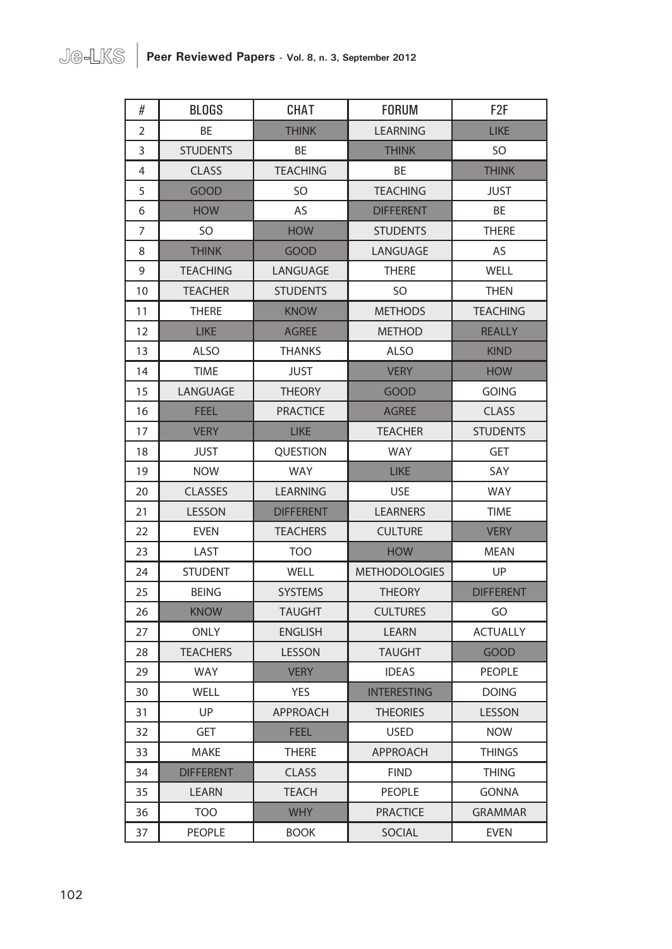$J@$ - $LK$  $S$ 

| #  | <b>BLOGS</b>     | <b>CHAT</b>      | <b>FORUM</b>         | F <sub>2F</sub>  |
|----|------------------|------------------|----------------------|------------------|
| 2  | <b>BE</b>        | <b>THINK</b>     | <b>LEARNING</b>      | LIKE             |
| 3  | <b>STUDENTS</b>  | BE               | <b>THINK</b>         | SO.              |
| 4  | <b>CLASS</b>     | <b>TEACHING</b>  | <b>BE</b>            | <b>THINK</b>     |
| 5  | <b>GOOD</b>      | SO.              | <b>TEACHING</b>      | JUST             |
| 6  | <b>HOW</b>       | AS               | <b>DIFFERENT</b>     | ВE               |
| 7  | SO               | <b>HOW</b>       | <b>STUDENTS</b>      | <b>THERE</b>     |
| 8  | <b>THINK</b>     | <b>GOOD</b>      | LANGUAGE             | AS               |
| 9  | <b>TEACHING</b>  | LANGUAGE         | THERE                | <b>WELL</b>      |
| 10 | <b>TEACHER</b>   | <b>STUDENTS</b>  | SO                   | THEN             |
| 11 | <b>THERE</b>     | <b>KNOW</b>      | <b>METHODS</b>       | <b>TEACHING</b>  |
| 12 | <b>LIKE</b>      | <b>AGREE</b>     | <b>METHOD</b>        | <b>REALLY</b>    |
| 13 | ALSO             | <b>THANKS</b>    | ALSO                 | <b>KIND</b>      |
| 14 | <b>TIME</b>      | JUST             | <b>VERY</b>          | <b>HOW</b>       |
| 15 | LANGUAGE         | <b>THEORY</b>    | <b>GOOD</b>          | <b>GOING</b>     |
| 16 | <b>FEEL</b>      | <b>PRACTICE</b>  | <b>AGREE</b>         | <b>CLASS</b>     |
| 17 | <b>VERY</b>      | <b>LIKE</b>      | <b>TEACHER</b>       | <b>STUDENTS</b>  |
| 18 | JUST             | <b>QUESTION</b>  | <b>WAY</b>           | <b>GET</b>       |
| 19 | <b>NOW</b>       | <b>WAY</b>       | <b>LIKE</b>          | SAY              |
| 20 | <b>CLASSES</b>   | <b>LEARNING</b>  | <b>USE</b>           | <b>WAY</b>       |
| 21 | <b>LESSON</b>    | <b>DIFFERENT</b> | <b>LEARNERS</b>      | <b>TIME</b>      |
| 22 | <b>EVEN</b>      | <b>TEACHERS</b>  | <b>CULTURE</b>       | <b>VERY</b>      |
| 23 | LAST             | <b>TOO</b>       | <b>HOW</b>           | MEAN             |
| 24 | <b>STUDENT</b>   | WELL             | <b>METHODOLOGIES</b> | UP               |
| 25 | <b>BEING</b>     | <b>SYSTEMS</b>   | <b>THEORY</b>        | <b>DIFFERENT</b> |
| 26 | <b>KNOW</b>      | <b>TAUGHT</b>    | <b>CULTURES</b>      | GO               |
| 27 | <b>ONLY</b>      | <b>ENGLISH</b>   | <b>LEARN</b>         | <b>ACTUALLY</b>  |
| 28 | <b>TEACHERS</b>  | <b>LESSON</b>    | <b>TAUGHT</b>        | <b>GOOD</b>      |
| 29 | <b>WAY</b>       | <b>VERY</b>      | <b>IDEAS</b>         | <b>PEOPLE</b>    |
| 30 | WELL             | YES              | <b>INTERESTING</b>   | <b>DOING</b>     |
| 31 | UP               | <b>APPROACH</b>  | <b>THEORIES</b>      | <b>LESSON</b>    |
| 32 | GET              | <b>FEEL</b>      | <b>USED</b>          | <b>NOW</b>       |
| 33 | MAKE             | <b>THERE</b>     | <b>APPROACH</b>      | <b>THINGS</b>    |
| 34 | <b>DIFFERENT</b> | <b>CLASS</b>     | <b>FIND</b>          | THING            |
| 35 | LEARN            | TEACH            | <b>PEOPLE</b>        | <b>GONNA</b>     |
| 36 | <b>TOO</b>       | <b>WHY</b>       | <b>PRACTICE</b>      | GRAMMAR          |
| 37 | <b>PEOPLE</b>    | BOOK             | <b>SOCIAL</b>        | <b>EVEN</b>      |